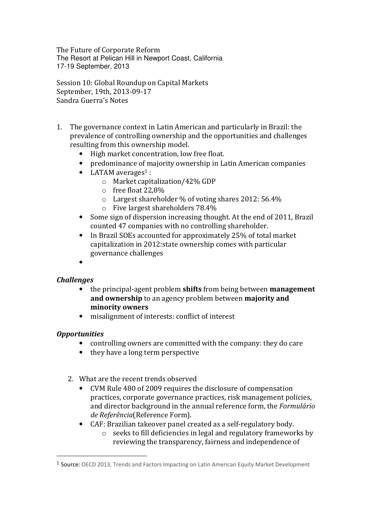The Future of Corporate Reform The Resort at Pelican Hill in Newport Coast, California 17-19 September, 2013

Session 10: Global Roundup on Capital Markets September, 19th, 2013-09-17 Sandra Guerra's Notes

- 1. The governance context in Latin American and particularly in Brazil: the prevalence of controlling ownership and the opportunities and challenges resulting from this ownership model.
	- High market concentration, low free float.
	- predominance of majority ownership in Latin American companies
	- LATAM averages<sup>1</sup> :
		- o Market capitalization/42% GDP
		- o free float 22,8%
		- o Largest shareholder % of voting shares 2012: 56.4%
		- o Five largest shareholders 78.4%
	- Some sign of dispersion increasing thought. At the end of 2011, Brazil counted 47 companies with no controlling shareholder.
	- In Brazil SOEs accounted for approximately 25% of total market capitalization in 2012:state ownership comes with particular governance challenges
	- •

## Challenges

- the principal-agent problem **shifts** from being between **management** and ownership to an agency problem between majority and minority owners
- misalignment of interests: conflict of interest

## **Opportunities**

 $\overline{a}$ 

- controlling owners are committed with the company: they do care
- they have a long term perspective
- 2. What are the recent trends observed
	- CVM Rule 480 of 2009 requires the disclosure of compensation practices, corporate governance practices, risk management policies, and director background in the annual reference form, the Formulário de Referência(Reference Form).
	- CAF: Brazilian takeover panel created as a self-regulatory body.
		- o seeks to fill deficiencies in legal and regulatory frameworks by reviewing the transparency, fairness and independence of

<sup>&</sup>lt;sup>1</sup> Source: OECD 2013, Trends and Factors Impacting on Latin American Equity Market Development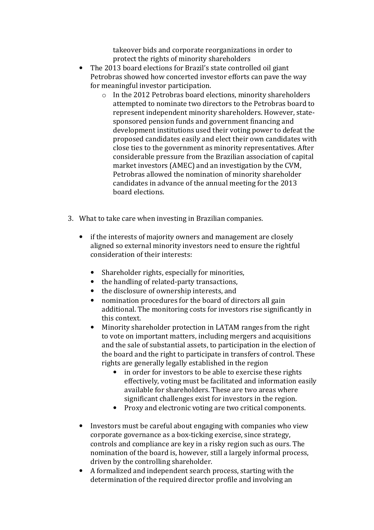takeover bids and corporate reorganizations in order to protect the rights of minority shareholders

- The 2013 board elections for Brazil's state controlled oil giant Petrobras showed how concerted investor efforts can pave the way for meaningful investor participation.
	- o In the 2012 Petrobras board elections, minority shareholders attempted to nominate two directors to the Petrobras board to represent independent minority shareholders. However, statesponsored pension funds and government financing and development institutions used their voting power to defeat the proposed candidates easily and elect their own candidates with close ties to the government as minority representatives. After considerable pressure from the Brazilian association of capital market investors (AMEC) and an investigation by the CVM, Petrobras allowed the nomination of minority shareholder candidates in advance of the annual meeting for the 2013 board elections.
- 3. What to take care when investing in Brazilian companies.
	- if the interests of majority owners and management are closely aligned so external minority investors need to ensure the rightful consideration of their interests:
		- Shareholder rights, especially for minorities,
		- the handling of related-party transactions,
		- the disclosure of ownership interests, and
		- nomination procedures for the board of directors all gain additional. The monitoring costs for investors rise significantly in this context.
		- Minority shareholder protection in LATAM ranges from the right to vote on important matters, including mergers and acquisitions and the sale of substantial assets, to participation in the election of the board and the right to participate in transfers of control. These rights are generally legally established in the region
			- in order for investors to be able to exercise these rights effectively, voting must be facilitated and information easily available for shareholders. These are two areas where significant challenges exist for investors in the region.
			- Proxy and electronic voting are two critical components.
	- Investors must be careful about engaging with companies who view corporate governance as a box-ticking exercise, since strategy, controls and compliance are key in a risky region such as ours. The nomination of the board is, however, still a largely informal process, driven by the controlling shareholder.
	- A formalized and independent search process, starting with the determination of the required director profile and involving an